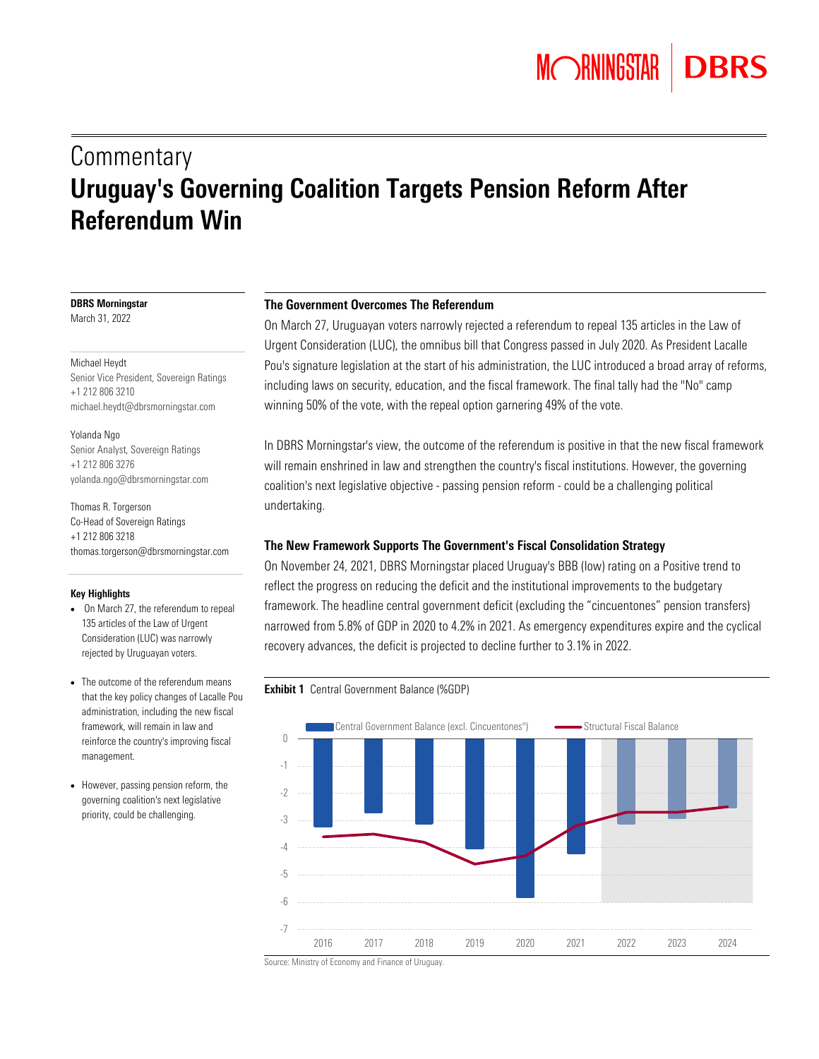# **Commentary** Uruguay's Governing Coalition Targets Pension Reform After Referendum Win

# DBRS Morningstar

March 31, 2022

#### Michael Heydt

Senior Vice President, Sovereign Ratings +1 212 806 3210 michael.heydt@dbrsmorningstar.com

#### Yolanda Ngo

Senior Analyst, Sovereign Ratings +1 212 806 3276 yolanda.ngo@dbrsmorningstar.com

Thomas R. Torgerson Co-Head of Sovereign Ratings +1 212 806 3218 [thomas.torgerson@dbrsmorningstar.com](mailto:thomas.torgerson@dbrsmorningstar.com)

# Key Highlights

- On March 27, the referendum to repeal 135 articles of the Law of Urgent Consideration (LUC) was narrowly rejected by Uruguayan voters.
- The outcome of the referendum means that the key policy changes of Lacalle Pou administration, including the new fiscal framework, will remain in law and reinforce the country's improving fiscal management.
- However, passing pension reform, the governing coalition's next legislative priority, could be challenging.

# The Government Overcomes The Referendum

On March 27, Uruguayan voters narrowly rejected a referendum to repeal 135 articles in the Law of Urgent Consideration (LUC), the omnibus bill that Congress passed in July 2020. As President Lacalle Pou's signature legislation at the start of his administration, the LUC introduced a broad array of reforms, including laws on security, education, and the fiscal framework. The final tally had the "No" camp winning 50% of the vote, with the repeal option garnering 49% of the vote.

In DBRS Morningstar's view, the outcome of the referendum is positive in that the new fiscal framework will remain enshrined in law and strengthen the country's fiscal institutions. However, the governing coalition's next legislative objective - passing pension reform - could be a challenging political undertaking.

# The New Framework Supports The Government's Fiscal Consolidation Strategy

On November 24, 2021, DBRS Morningstar placed Uruguay's BBB (low) rating on a Positive trend to reflect the progress on reducing the deficit and the institutional improvements to the budgetary framework. The headline central government deficit (excluding the "cincuentones" pension transfers) narrowed from 5.8% of GDP in 2020 to 4.2% in 2021. As emergency expenditures expire and the cyclical recovery advances, the deficit is projected to decline further to 3.1% in 2022.

# Exhibit 1 Central Government Balance (%GDP)



Source: Ministry of Economy and Finance of Uruguay.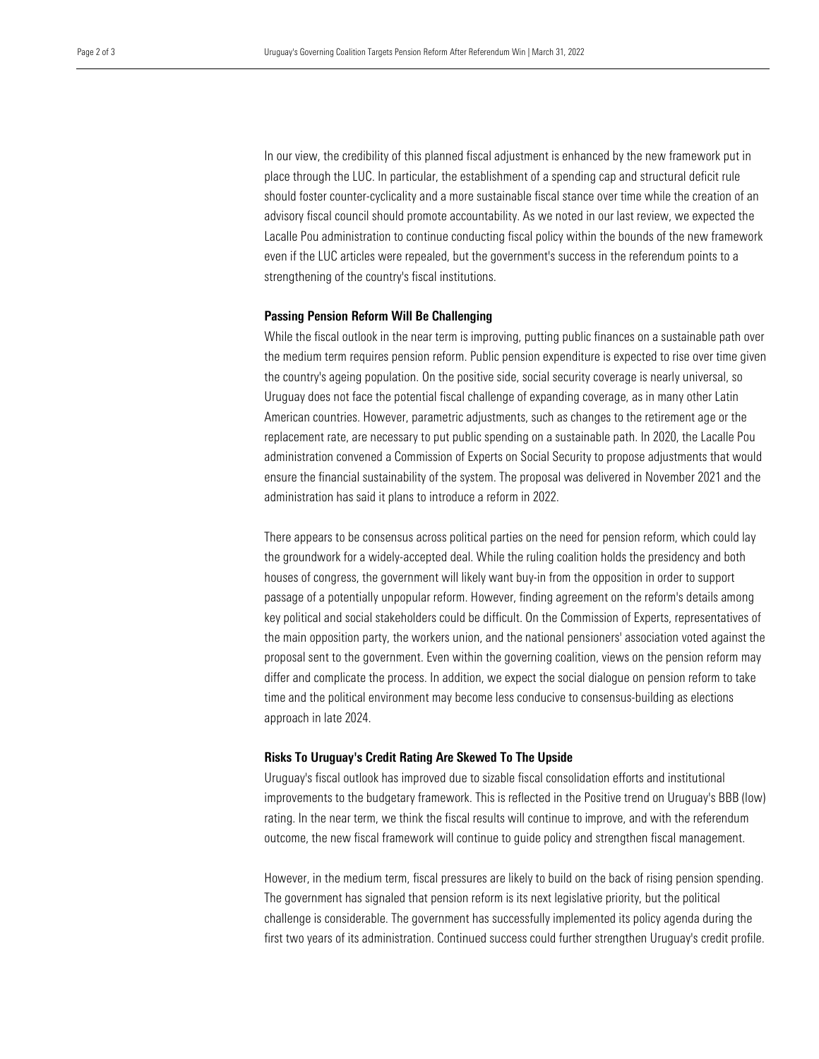In our view, the credibility of this planned fiscal adjustment is enhanced by the new framework put in place through the LUC. In particular, the establishment of a spending cap and structural deficit rule should foster counter-cyclicality and a more sustainable fiscal stance over time while the creation of an advisory fiscal council should promote accountability. As we noted in our last review, we expected the Lacalle Pou administration to continue conducting fiscal policy within the bounds of the new framework even if the LUC articles were repealed, but the government's success in the referendum points to a strengthening of the country's fiscal institutions.

# Passing Pension Reform Will Be Challenging

While the fiscal outlook in the near term is improving, putting public finances on a sustainable path over the medium term requires pension reform. Public pension expenditure is expected to rise over time given the country's ageing population. On the positive side, social security coverage is nearly universal, so Uruguay does not face the potential fiscal challenge of expanding coverage, as in many other Latin American countries. However, parametric adjustments, such as changes to the retirement age or the replacement rate, are necessary to put public spending on a sustainable path. In 2020, the Lacalle Pou administration convened a Commission of Experts on Social Security to propose adjustments that would ensure the financial sustainability of the system. The proposal was delivered in November 2021 and the administration has said it plans to introduce a reform in 2022.

There appears to be consensus across political parties on the need for pension reform, which could lay the groundwork for a widely-accepted deal. While the ruling coalition holds the presidency and both houses of congress, the government will likely want buy-in from the opposition in order to support passage of a potentially unpopular reform. However, finding agreement on the reform's details among key political and social stakeholders could be difficult. On the Commission of Experts, representatives of the main opposition party, the workers union, and the national pensioners' association voted against the proposal sent to the government. Even within the governing coalition, views on the pension reform may differ and complicate the process. In addition, we expect the social dialogue on pension reform to take time and the political environment may become less conducive to consensus-building as elections approach in late 2024.

### Risks To Uruguay's Credit Rating Are Skewed To The Upside

Uruguay's fiscal outlook has improved due to sizable fiscal consolidation efforts and institutional improvements to the budgetary framework. This is reflected in the Positive trend on Uruguay's BBB (low) rating. In the near term, we think the fiscal results will continue to improve, and with the referendum outcome, the new fiscal framework will continue to guide policy and strengthen fiscal management.

However, in the medium term, fiscal pressures are likely to build on the back of rising pension spending. The government has signaled that pension reform is its next legislative priority, but the political challenge is considerable. The government has successfully implemented its policy agenda during the first two years of its administration. Continued success could further strengthen Uruguay's credit profile.